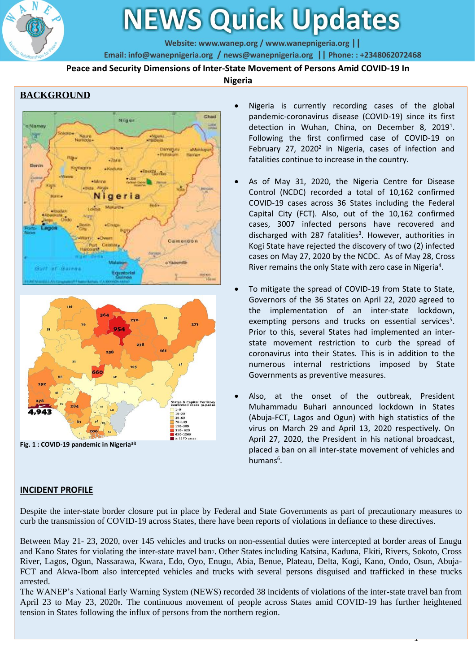

# **NEWS Quick Updates**

Website: www.wanep.org / www.wanepnigeria.org | |

Email: info@wanepnigeria.org / news@wanepnigeria.org | | Phone: : +2348062072468

**Peace and Security Dimensions of Inter-State Movement of Persons Amid COVID-19 In** 

#### **Nigeria**

## **BACKGROUND**





**Fig. 1 : COVID-19 pandemic in Nigeria3ß**

## **INCIDENT PROFILE**

- Nigeria is currently recording cases of the global pandemic-coronavirus disease (COVID-19) since its first detection in Wuhan, China, on December 8, 2019<sup>1</sup>. Following the first confirmed case of COVID-19 on February 27, 2020<sup>2</sup> in Nigeria, cases of infection and fatalities continue to increase in the country.
- As of May 31, 2020, the Nigeria Centre for Disease Control (NCDC) recorded a total of 10,162 confirmed COVID-19 cases across 36 States including the Federal Capital City (FCT). Also, out of the 10,162 confirmed cases, 3007 infected persons have recovered and discharged with 287 fatalities<sup>3</sup>. However, authorities in Kogi State have rejected the discovery of two (2) infected cases on May 27, 2020 by the NCDC. As of May 28, Cross River remains the only State with zero case in Nigeria<sup>4</sup>.
- To mitigate the spread of COVID-19 from State to State, Governors of the 36 States on April 22, 2020 agreed to the implementation of an inter-state lockdown, exempting persons and trucks on essential services<sup>5</sup>. Prior to this, several States had implemented an interstate movement restriction to curb the spread of coronavirus into their States. This is in addition to the numerous internal restrictions imposed by State Governments as preventive measures.
- Also, at the onset of the outbreak, President Muhammadu Buhari announced lockdown in States (Abuja-FCT, Lagos and Ogun) with high statistics of the virus on March 29 and April 13, 2020 respectively. On April 27, 2020, the President in his national broadcast, placed a ban on all inter-state movement of vehicles and humans<sup>6</sup>.

1

Despite the inter-state border closure put in place by Federal and State Governments as part of precautionary measures to curb the transmission of COVID-19 across States, there have been reports of violations in defiance to these directives.

Between May 21- 23, 2020, over 145 vehicles and trucks on non-essential duties were intercepted at border areas of Enugu and Kano States for violating the inter-state travel ban7. Other States including Katsina, Kaduna, Ekiti, Rivers, Sokoto, Cross River, Lagos, Ogun, Nassarawa, Kwara, Edo, Oyo, Enugu, Abia, Benue, Plateau, Delta, Kogi, Kano, Ondo, Osun, Abuja-FCT and Akwa-Ibom also intercepted vehicles and trucks with several persons disguised and trafficked in these trucks arrested.

The WANEP's National Early Warning System (NEWS) recorded 38 incidents of violations of the inter-state travel ban from April 23 to May 23, 20208. The continuous movement of people across States amid COVID-19 has further heightened tension in States following the influx of persons from the northern region.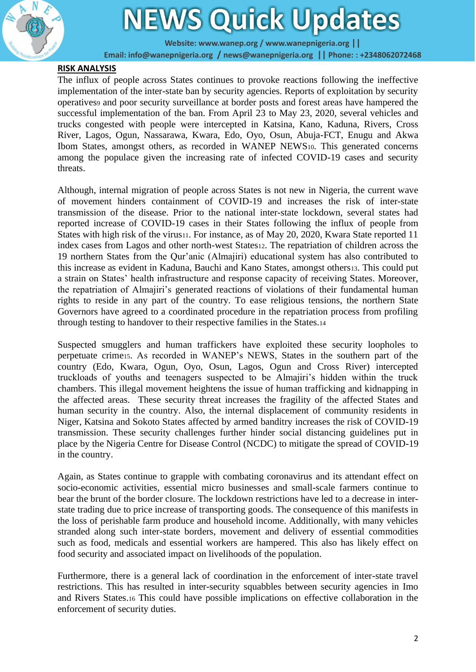

## **NEWS Quick Updates**

Website: www.wanep.org / www.wanepnigeria.org | |

Email: info@wanepnigeria.org / news@wanepnigeria.org | | Phone: : +2348062072468

## **RISK ANALYSIS**

The influx of people across States continues to provoke reactions following the ineffective implementation of the inter-state ban by security agencies. Reports of exploitation by security operatives<sup>9</sup> and poor security surveillance at border posts and forest areas have hampered the successful implementation of the ban. From April 23 to May 23, 2020, several vehicles and trucks congested with people were intercepted in Katsina, Kano, Kaduna, Rivers, Cross River, Lagos, Ogun, Nassarawa, Kwara, Edo, Oyo, Osun, Abuja-FCT, Enugu and Akwa Ibom States, amongst others, as recorded in WANEP NEWS10. This generated concerns among the populace given the increasing rate of infected COVID-19 cases and security threats.

Although, internal migration of people across States is not new in Nigeria, the current wave of movement hinders containment of COVID-19 and increases the risk of inter-state transmission of the disease. Prior to the national inter-state lockdown, several states had reported increase of COVID-19 cases in their States following the influx of people from States with high risk of the virus11. For instance, as of May 20, 2020, Kwara State reported 11 index cases from Lagos and other north-west States12. The repatriation of children across the 19 northern States from the Qur'anic (Almajiri) educational system has also contributed to this increase as evident in Kaduna, Bauchi and Kano States, amongst others13. This could put a strain on States' health infrastructure and response capacity of receiving States. Moreover, the repatriation of Almajiri's generated reactions of violations of their fundamental human rights to reside in any part of the country. To ease religious tensions, the northern State Governors have agreed to a coordinated procedure in the repatriation process from profiling through testing to handover to their respective families in the States.<sup>14</sup>

Suspected smugglers and human traffickers have exploited these security loopholes to perpetuate crime15. As recorded in WANEP's NEWS, States in the southern part of the country (Edo, Kwara, Ogun, Oyo, Osun, Lagos, Ogun and Cross River) intercepted truckloads of youths and teenagers suspected to be Almajiri's hidden within the truck chambers. This illegal movement heightens the issue of human trafficking and kidnapping in the affected areas. These security threat increases the fragility of the affected States and human security in the country. Also, the internal displacement of community residents in Niger, Katsina and Sokoto States affected by armed banditry increases the risk of COVID-19 transmission. These security challenges further hinder social distancing guidelines put in place by the Nigeria Centre for Disease Control (NCDC) to mitigate the spread of COVID-19 in the country.

Again, as States continue to grapple with combating coronavirus and its attendant effect on socio-economic activities, essential micro businesses and small-scale farmers continue to bear the brunt of the border closure. The lockdown restrictions have led to a decrease in interstate trading due to price increase of transporting goods. The consequence of this manifests in the loss of perishable farm produce and household income. Additionally, with many vehicles stranded along such inter-state borders, movement and delivery of essential commodities such as food, medicals and essential workers are hampered. This also has likely effect on food security and associated impact on livelihoods of the population.

Furthermore, there is a general lack of coordination in the enforcement of inter-state travel restrictions. This has resulted in inter-security squabbles between security agencies in Imo and Rivers States.<sup>16</sup> This could have possible implications on effective collaboration in the enforcement of security duties.